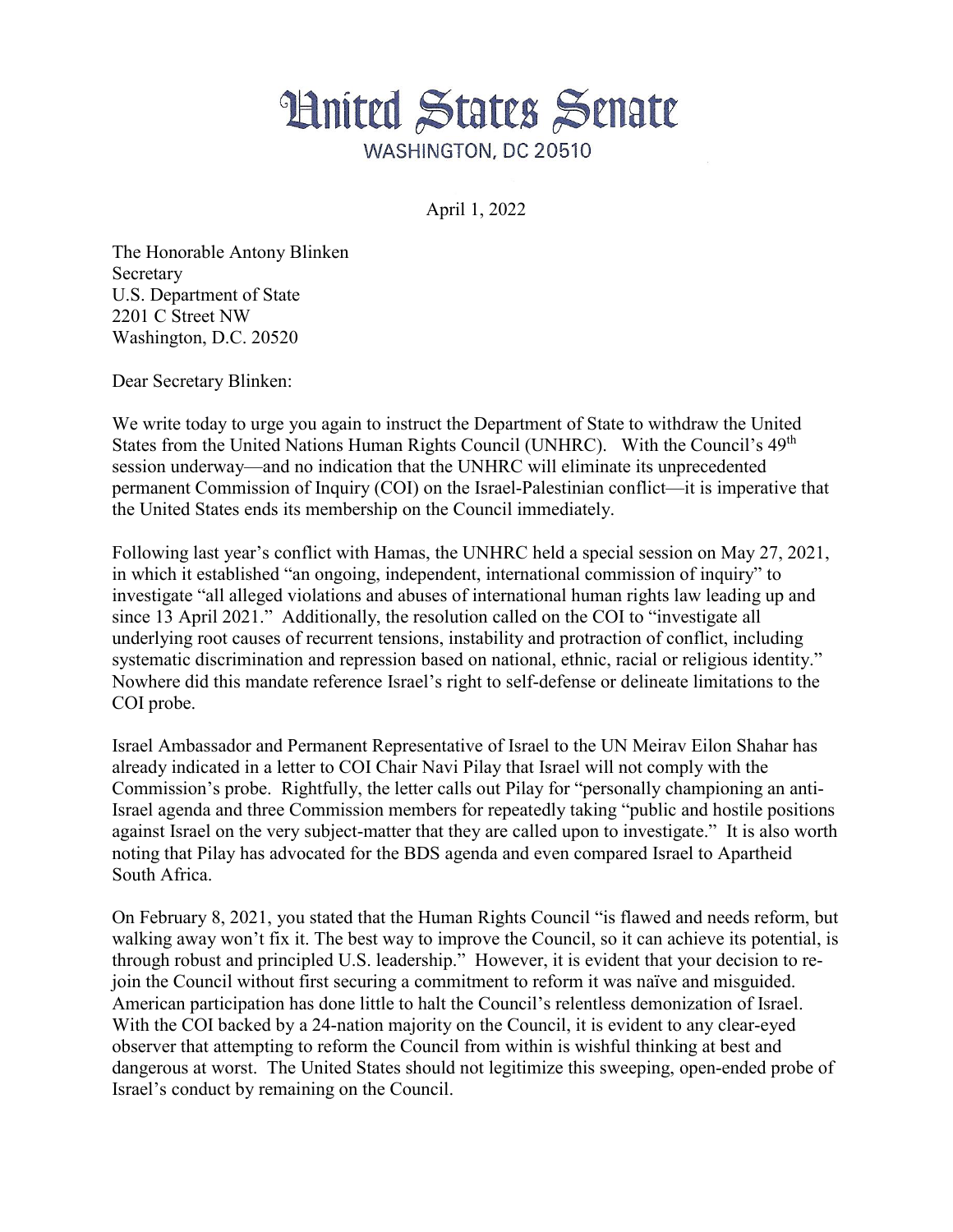

April 1, 2022

The Honorable Antony Blinken Secretary U.S. Department of State 2201 C Street NW Washington, D.C. 20520

Dear Secretary Blinken:

We write today to urge you again to instruct the Department of State to withdraw the United States from the United Nations Human Rights Council (UNHRC). With the Council's  $49<sup>th</sup>$ session underway—and no indication that the UNHRC will eliminate its unprecedented permanent Commission of Inquiry (COI) on the Israel-Palestinian conflict—it is imperative that the United States ends its membership on the Council immediately.

Following last year's conflict with Hamas, the UNHRC held a special session on May 27, 2021, in which it established "an ongoing, independent, international commission of inquiry" to investigate "all alleged violations and abuses of international human rights law leading up and since 13 April 2021." Additionally, the resolution called on the COI to "investigate all underlying root causes of recurrent tensions, instability and protraction of conflict, including systematic discrimination and repression based on national, ethnic, racial or religious identity." Nowhere did this mandate reference Israel's right to self-defense or delineate limitations to the COI probe.

Israel Ambassador and Permanent Representative of Israel to the UN Meirav Eilon Shahar has already indicated in a letter to COI Chair Navi Pilay that Israel will not comply with the Commission's probe. Rightfully, the letter calls out Pilay for "personally championing an anti-Israel agenda and three Commission members for repeatedly taking "public and hostile positions against Israel on the very subject-matter that they are called upon to investigate." It is also worth noting that Pilay has advocated for the BDS agenda and even compared Israel to Apartheid South Africa.

On February 8, 2021, you stated that the Human Rights Council "is flawed and needs reform, but walking away won't fix it. The best way to improve the Council, so it can achieve its potential, is through robust and principled U.S. leadership." However, it is evident that your decision to rejoin the Council without first securing a commitment to reform it was naïve and misguided. American participation has done little to halt the Council's relentless demonization of Israel. With the COI backed by a 24-nation majority on the Council, it is evident to any clear-eyed observer that attempting to reform the Council from within is wishful thinking at best and dangerous at worst. The United States should not legitimize this sweeping, open-ended probe of Israel's conduct by remaining on the Council.